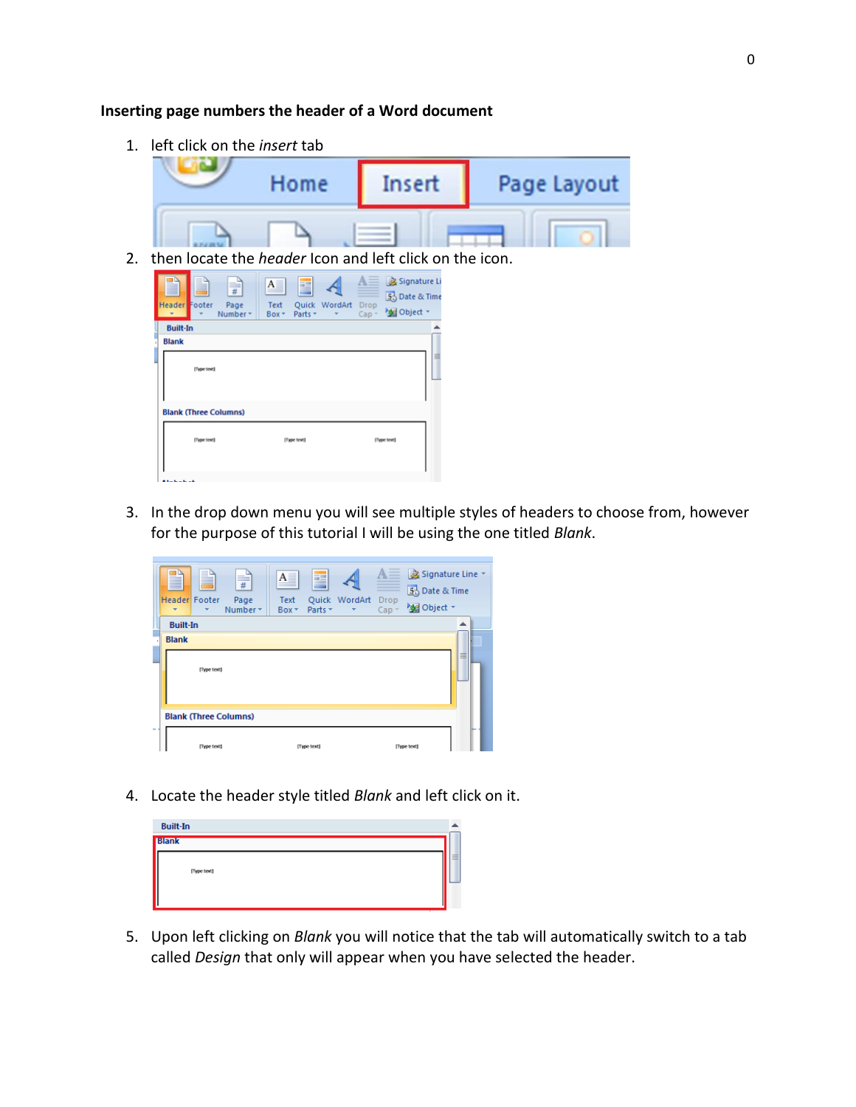## **Inserting page numbers the header of a Word document**

1. left click on the *insert* tab

| Home | Insert | Page Layout |  |  |  |
|------|--------|-------------|--|--|--|
|      |        |             |  |  |  |

2. then locate the *header* Icon and left click on the icon.



3. In the drop down menu you will see multiple styles of headers to choose from, however for the purpose of this tutorial I will be using the one titled *Blank*.

|        | ▌<br><b>Header</b> Footer<br>$\overline{\phantom{a}}$ | P           | $\equiv$<br>Page<br>Number * | $A \equiv$<br>Text<br>Box - | E<br>Parts * | Quick WordArt | Drop<br>$Cap^{-1}$ | $\mathbb{A}\equiv\,$ $\bar{\mathbb{A}}$ Signature Line $\bar{\ }$<br>5 Date & Time<br><b>Med</b> Object * |   |  |  |
|--------|-------------------------------------------------------|-------------|------------------------------|-----------------------------|--------------|---------------|--------------------|-----------------------------------------------------------------------------------------------------------|---|--|--|
|        | <b>Built-In</b>                                       |             |                              |                             |              |               |                    |                                                                                                           |   |  |  |
|        | <b>Blank</b>                                          | [Type text] |                              |                             |              |               |                    |                                                                                                           | ≡ |  |  |
|        | <b>Blank (Three Columns)</b>                          |             |                              |                             |              |               |                    |                                                                                                           |   |  |  |
| $\sim$ |                                                       | [Type text] |                              |                             | [Type text]  |               |                    | [Type text]                                                                                               |   |  |  |

4. Locate the header style titled *Blank* and left click on it.

| <b>Built-In</b> |              |   |  |  |  |
|-----------------|--------------|---|--|--|--|
|                 | <b>Blank</b> |   |  |  |  |
|                 | [Type text]  | ≡ |  |  |  |
|                 |              |   |  |  |  |

5. Upon left clicking on *Blank* you will notice that the tab will automatically switch to a tab called *Design* that only will appear when you have selected the header.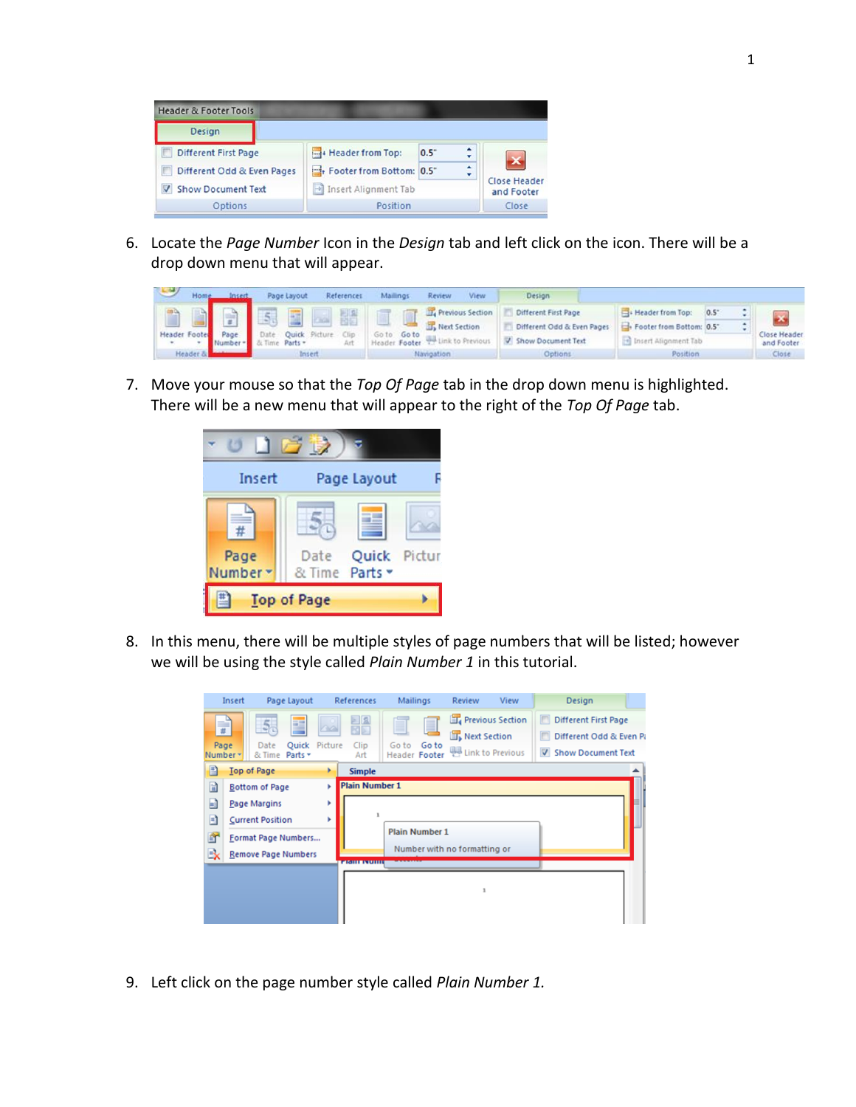

6. Locate the *Page Number* Icon in the *Design* tab and left click on the icon. There will be a drop down menu that will appear.

| $\rightarrow$ | Home     |        | Page Layout | References           | Mailings          | Review<br>View             | Design                     |                          |     |               |                   |
|---------------|----------|--------|-------------|----------------------|-------------------|----------------------------|----------------------------|--------------------------|-----|---------------|-------------------|
|               |          |        | <b>ASS</b>  | Ha                   |                   | <b>T.</b> Previous Section | Different First Page       | Header from Top:         | 0.5 |               |                   |
| Header        | Footer   | Page   |             | Quick Picture<br>COn | Goto<br>Go to     | In Next Section            | Different Odd & Even Pages | Footer from Bottom: 0.5" |     | $\rightarrow$ | ∽<br>Close Header |
|               |          | Number | Parts +     | Art                  | Footer<br>deader. | <b>WA Link to Previous</b> | Show Document Text         | Insert Alignment Tab     |     |               | and Footer        |
|               | Header & |        | Insert      |                      |                   | <b>Navigation</b>          | Options                    | Position                 |     |               | Close             |

7. Move your mouse so that the *Top Of Page* tab in the drop down menu is highlighted. There will be a new menu that will appear to the right of the *Top Of Page* tab.



8. In this menu, there will be multiple styles of page numbers that will be listed; however we will be using the style called *Plain Number 1* in this tutorial.



9. Left click on the page number style called *Plain Number 1.*